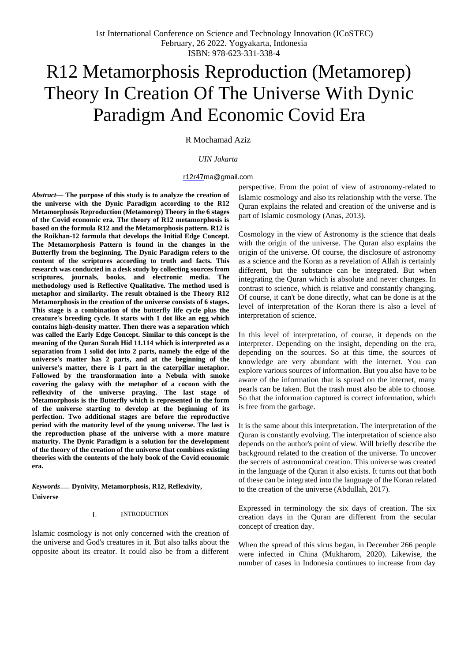# R12 Metamorphosis Reproduction (Metamorep) Theory In Creation Of The Universe With Dynic Paradigm And Economic Covid Era

R Mochamad Aziz

# *UIN Jakarta*

#### [r12r47ma@gmail.com](mailto:r12r47ma@gmail.com)

*Abstract***— The purpose of this study is to analyze the creation of the universe with the Dynic Paradigm according to the R12 Metamorphosis Reproduction (Metamorep) Theory in the 6 stages of the Covid economic era. The theory of R12 metamorphosis is based on the formula R12 and the Metamorphosis pattern. R12 is the Roikhan-12 formula that develops the Initial Edge Concept. The Metamorphosis Pattern is found in the changes in the Butterfly from the beginning. The Dynic Paradigm refers to the content of the scriptures according to truth and facts. This research was conducted in a desk study by collecting sources from scriptures, journals, books, and electronic media. The methodology used is Reflective Qualitative. The method used is metaphor and similarity. The result obtained is the Theory R12 Metamorphosis in the creation of the universe consists of 6 stages. This stage is a combination of the butterfly life cycle plus the creature's breeding cycle. It starts with 1 dot like an egg which contains high-density matter. Then there was a separation which was called the Early Edge Concept. Similar to this concept is the meaning of the Quran Surah Hid 11.114 which is interpreted as a separation from 1 solid dot into 2 parts, namely the edge of the universe's matter has 2 parts, and at the beginning of the universe's matter, there is 1 part in the caterpillar metaphor. Followed by the transformation into a Nebula with smoke covering the galaxy with the metaphor of a cocoon with the reflexivity of the universe praying. The last stage of Metamorphosis is the Butterfly which is represented in the form of the universe starting to develop at the beginning of its perfection. Two additional stages are before the reproductive period with the maturity level of the young universe. The last is the reproduction phase of the universe with a more mature maturity. The Dynic Paradigm is a solution for the development of the theory of the creation of the universe that combines existing theories with the contents of the holy book of the Covid economic era.**

*Keywords*— **Dynivity, Metamorphosis, R12, Reflexivity, Universe**

#### I. INTRODUCTION

Islamic cosmology is not only concerned with the creation of the universe and God's creatures in it. But also talks about the opposite about its creator. It could also be from a different

perspective. From the point of view of astronomy-related to Islamic cosmology and also its relationship with the verse. The Quran explains the related and creation of the universe and is part of Islamic cosmology (Anas, 2013).

Cosmology in the view of Astronomy is the science that deals with the origin of the universe. The Quran also explains the origin of the universe. Of course, the disclosure of astronomy as a science and the Koran as a revelation of Allah is certainly different, but the substance can be integrated. But when integrating the Quran which is absolute and never changes. In contrast to science, which is relative and constantly changing. Of course, it can't be done directly, what can be done is at the level of interpretation of the Koran there is also a level of interpretation of science.

In this level of interpretation, of course, it depends on the interpreter. Depending on the insight, depending on the era, depending on the sources. So at this time, the sources of knowledge are very abundant with the internet. You can explore various sources of information. But you also have to be aware of the information that is spread on the internet, many pearls can be taken. But the trash must also be able to choose. So that the information captured is correct information, which is free from the garbage.

It is the same about this interpretation. The interpretation of the Quran is constantly evolving. The interpretation of science also depends on the author's point of view. Will briefly describe the background related to the creation of the universe. To uncover the secrets of astronomical creation. This universe was created in the language of the Quran it also exists. It turns out that both of these can be integrated into the language of the Koran related to the creation of the universe (Abdullah, 2017).

Expressed in terminology the six days of creation. The six creation days in the Quran are different from the secular concept of creation day.

When the spread of this virus began, in December 266 people were infected in China (Mukharom, 2020). Likewise, the number of cases in Indonesia continues to increase from day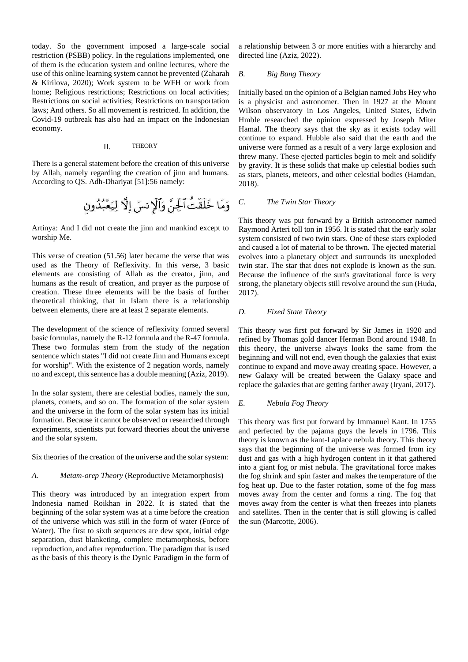today. So the government imposed a large-scale social restriction (PSBB) policy. In the regulations implemented, one of them is the education system and online lectures, where the use of this online learning system cannot be prevented (Zaharah & Kirilova, 2020); Work system to be WFH or work from home; Religious restrictions; Restrictions on local activities; Restrictions on social activities; Restrictions on transportation laws; And others. So all movement is restricted. In addition, the Covid-19 outbreak has also had an impact on the Indonesian economy.

#### II. THEORY

There is a general statement before the creation of this universe by Allah, namely regarding the creation of jinn and humans. According to QS. Adh-Dhariyat [51]:56 namely:

Artinya: And I did not create the jinn and mankind except to worship Me.

This verse of creation (51.56) later became the verse that was used as the Theory of Reflexivity. In this verse, 3 basic elements are consisting of Allah as the creator, jinn, and humans as the result of creation, and prayer as the purpose of creation. These three elements will be the basis of further theoretical thinking, that in Islam there is a relationship between elements, there are at least 2 separate elements.

The development of the science of reflexivity formed several basic formulas, namely the R-12 formula and the R-47 formula. These two formulas stem from the study of the negation sentence which states "I did not create Jinn and Humans except for worship". With the existence of 2 negation words, namely no and except, this sentence has a double meaning (Aziz, 2019).

In the solar system, there are celestial bodies, namely the sun, planets, comets, and so on. The formation of the solar system and the universe in the form of the solar system has its initial formation. Because it cannot be observed or researched through experiments, scientists put forward theories about the universe and the solar system.

Six theories of the creation of the universe and the solar system:

## *A. Metam-orep Theory* (Reproductive Metamorphosis)

This theory was introduced by an integration expert from Indonesia named Roikhan in 2022. It is stated that the beginning of the solar system was at a time before the creation of the universe which was still in the form of water (Force of Water). The first to sixth sequences are dew spot, initial edge separation, dust blanketing, complete metamorphosis, before reproduction, and after reproduction. The paradigm that is used as the basis of this theory is the Dynic Paradigm in the form of a relationship between 3 or more entities with a hierarchy and directed line (Aziz, 2022).

# *B. Big Bang Theory*

Initially based on the opinion of a Belgian named Jobs Hey who is a physicist and astronomer. Then in 1927 at the Mount Wilson observatory in Los Angeles, United States, Edwin Hmble researched the opinion expressed by Joseph Miter Hamal. The theory says that the sky as it exists today will continue to expand. Hubble also said that the earth and the universe were formed as a result of a very large explosion and threw many. These ejected particles begin to melt and solidify by gravity. It is these solids that make up celestial bodies such as stars, planets, meteors, and other celestial bodies (Hamdan, 2018).

# *C. The Twin Star Theory*

This theory was put forward by a British astronomer named Raymond Arteri toll ton in 1956. It is stated that the early solar system consisted of two twin stars. One of these stars exploded and caused a lot of material to be thrown. The ejected material evolves into a planetary object and surrounds its unexploded twin star. The star that does not explode is known as the sun. Because the influence of the sun's gravitational force is very strong, the planetary objects still revolve around the sun (Huda, 2017).

#### *D. Fixed State Theory*

This theory was first put forward by Sir James in 1920 and refined by Thomas gold dancer Herman Bond around 1948. In this theory, the universe always looks the same from the beginning and will not end, even though the galaxies that exist continue to expand and move away creating space. However, a new Galaxy will be created between the Galaxy space and replace the galaxies that are getting farther away (Iryani, 2017).

### *E. Nebula Fog Theory*

This theory was first put forward by Immanuel Kant. In 1755 and perfected by the pajama guys the levels in 1796. This theory is known as the kant-Laplace nebula theory. This theory says that the beginning of the universe was formed from icy dust and gas with a high hydrogen content in it that gathered into a giant fog or mist nebula. The gravitational force makes the fog shrink and spin faster and makes the temperature of the fog heat up. Due to the faster rotation, some of the fog mass moves away from the center and forms a ring. The fog that moves away from the center is what then freezes into planets and satellites. Then in the center that is still glowing is called the sun (Marcotte, 2006).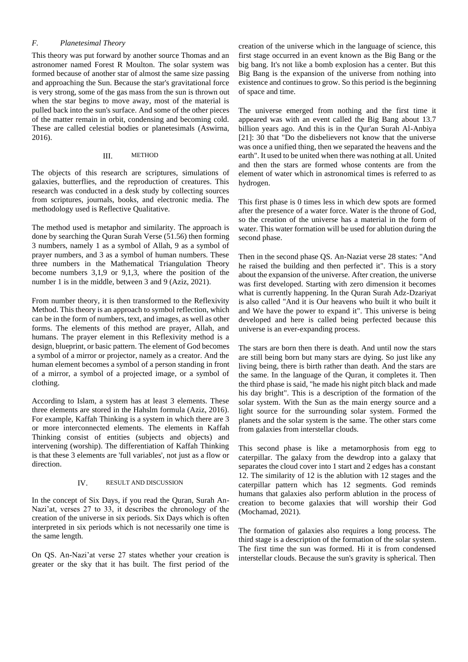## *F. Planetesimal Theory*

This theory was put forward by another source Thomas and an astronomer named Forest R Moulton. The solar system was formed because of another star of almost the same size passing and approaching the Sun. Because the star's gravitational force is very strong, some of the gas mass from the sun is thrown out when the star begins to move away, most of the material is pulled back into the sun's surface. And some of the other pieces of the matter remain in orbit, condensing and becoming cold. These are called celestial bodies or planetesimals (Aswirna, 2016).

## III. METHOD

The objects of this research are scriptures, simulations of galaxies, butterflies, and the reproduction of creatures. This research was conducted in a desk study by collecting sources from scriptures, journals, books, and electronic media. The methodology used is Reflective Qualitative.

The method used is metaphor and similarity. The approach is done by searching the Quran Surah Verse (51.56) then forming 3 numbers, namely 1 as a symbol of Allah, 9 as a symbol of prayer numbers, and 3 as a symbol of human numbers. These three numbers in the Mathematical Triangulation Theory become numbers 3,1,9 or 9,1,3, where the position of the number 1 is in the middle, between 3 and 9 (Aziz, 2021).

From number theory, it is then transformed to the Reflexivity Method. This theory is an approach to symbol reflection, which can be in the form of numbers, text, and images, as well as other forms. The elements of this method are prayer, Allah, and humans. The prayer element in this Reflexivity method is a design, blueprint, or basic pattern. The element of God becomes a symbol of a mirror or projector, namely as a creator. And the human element becomes a symbol of a person standing in front of a mirror, a symbol of a projected image, or a symbol of clothing.

According to Islam, a system has at least 3 elements. These three elements are stored in the Hahslm formula (Aziz, 2016). For example, Kaffah Thinking is a system in which there are 3 or more interconnected elements. The elements in Kaffah Thinking consist of entities (subjects and objects) and intervening (worship). The differentiation of Kaffah Thinking is that these 3 elements are 'full variables', not just as a flow or direction.

# IV. RESULT AND DISCUSSION

In the concept of Six Days, if you read the Quran, Surah An-Nazi'at, verses 27 to 33, it describes the chronology of the creation of the universe in six periods. Six Days which is often interpreted in six periods which is not necessarily one time is the same length.

On QS. An-Nazi'at verse 27 states whether your creation is greater or the sky that it has built. The first period of the creation of the universe which in the language of science, this first stage occurred in an event known as the Big Bang or the big bang. It's not like a bomb explosion has a center. But this Big Bang is the expansion of the universe from nothing into existence and continues to grow. So this period is the beginning of space and time.

The universe emerged from nothing and the first time it appeared was with an event called the Big Bang about 13.7 billion years ago. And this is in the Qur'an Surah Al-Anbiya [21]: 30 that "Do the disbelievers not know that the universe was once a unified thing, then we separated the heavens and the earth". It used to be united when there was nothing at all. United and then the stars are formed whose contents are from the element of water which in astronomical times is referred to as hydrogen.

This first phase is 0 times less in which dew spots are formed after the presence of a water force. Water is the throne of God, so the creation of the universe has a material in the form of water. This water formation will be used for ablution during the second phase.

Then in the second phase QS. An-Naziat verse 28 states: "And he raised the building and then perfected it". This is a story about the expansion of the universe. After creation, the universe was first developed. Starting with zero dimension it becomes what is currently happening. In the Quran Surah Adz-Dzariyat is also called "And it is Our heavens who built it who built it and We have the power to expand it". This universe is being developed and here is called being perfected because this universe is an ever-expanding process.

The stars are born then there is death. And until now the stars are still being born but many stars are dying. So just like any living being, there is birth rather than death. And the stars are the same. In the language of the Quran, it completes it. Then the third phase is said, "he made his night pitch black and made his day bright". This is a description of the formation of the solar system. With the Sun as the main energy source and a light source for the surrounding solar system. Formed the planets and the solar system is the same. The other stars come from galaxies from interstellar clouds.

This second phase is like a metamorphosis from egg to caterpillar. The galaxy from the dewdrop into a galaxy that separates the cloud cover into 1 start and 2 edges has a constant 12. The similarity of 12 is the ablution with 12 stages and the caterpillar pattern which has 12 segments. God reminds humans that galaxies also perform ablution in the process of creation to become galaxies that will worship their God (Mochamad, 2021).

The formation of galaxies also requires a long process. The third stage is a description of the formation of the solar system. The first time the sun was formed. Hi it is from condensed interstellar clouds. Because the sun's gravity is spherical. Then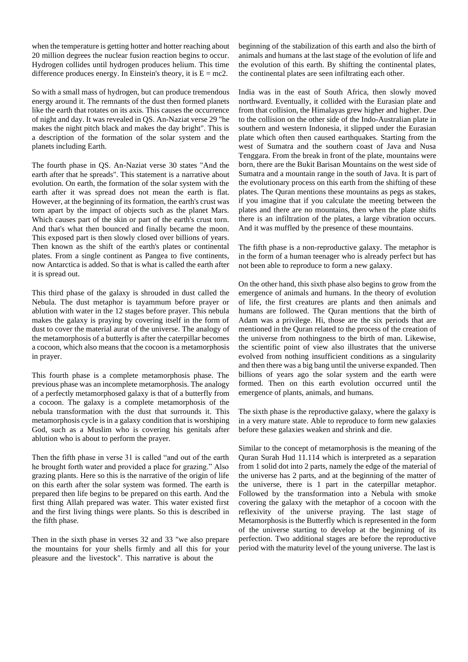when the temperature is getting hotter and hotter reaching about 20 million degrees the nuclear fusion reaction begins to occur. Hydrogen collides until hydrogen produces helium. This time difference produces energy. In Einstein's theory, it is  $E = mc2$ .

So with a small mass of hydrogen, but can produce tremendous energy around it. The remnants of the dust then formed planets like the earth that rotates on its axis. This causes the occurrence of night and day. It was revealed in QS. An-Naziat verse 29 "he makes the night pitch black and makes the day bright". This is a description of the formation of the solar system and the planets including Earth.

The fourth phase in QS. An-Naziat verse 30 states "And the earth after that he spreads". This statement is a narrative about evolution. On earth, the formation of the solar system with the earth after it was spread does not mean the earth is flat. However, at the beginning of its formation, the earth's crust was torn apart by the impact of objects such as the planet Mars. Which causes part of the skin or part of the earth's crust torn. And that's what then bounced and finally became the moon. This exposed part is then slowly closed over billions of years. Then known as the shift of the earth's plates or continental plates. From a single continent as Pangea to five continents, now Antarctica is added. So that is what is called the earth after it is spread out.

This third phase of the galaxy is shrouded in dust called the Nebula. The dust metaphor is tayammum before prayer or ablution with water in the 12 stages before prayer. This nebula makes the galaxy is praying by covering itself in the form of dust to cover the material aurat of the universe. The analogy of the metamorphosis of a butterfly is after the caterpillar becomes a cocoon, which also means that the cocoon is a metamorphosis in prayer.

This fourth phase is a complete metamorphosis phase. The previous phase was an incomplete metamorphosis. The analogy of a perfectly metamorphosed galaxy is that of a butterfly from a cocoon. The galaxy is a complete metamorphosis of the nebula transformation with the dust that surrounds it. This metamorphosis cycle is in a galaxy condition that is worshiping God, such as a Muslim who is covering his genitals after ablution who is about to perform the prayer.

Then the fifth phase in verse 31 is called "and out of the earth he brought forth water and provided a place for grazing." Also grazing plants. Here so this is the narrative of the origin of life on this earth after the solar system was formed. The earth is prepared then life begins to be prepared on this earth. And the first thing Allah prepared was water. This water existed first and the first living things were plants. So this is described in the fifth phase.

Then in the sixth phase in verses 32 and 33 "we also prepare the mountains for your shells firmly and all this for your pleasure and the livestock". This narrative is about the

beginning of the stabilization of this earth and also the birth of animals and humans at the last stage of the evolution of life and the evolution of this earth. By shifting the continental plates, the continental plates are seen infiltrating each other.

India was in the east of South Africa, then slowly moved northward. Eventually, it collided with the Eurasian plate and from that collision, the Himalayas grew higher and higher. Due to the collision on the other side of the Indo-Australian plate in southern and western Indonesia, it slipped under the Eurasian plate which often then caused earthquakes. Starting from the west of Sumatra and the southern coast of Java and Nusa Tenggara. From the break in front of the plate, mountains were born, there are the Bukit Barisan Mountains on the west side of Sumatra and a mountain range in the south of Java. It is part of the evolutionary process on this earth from the shifting of these plates. The Quran mentions these mountains as pegs as stakes, if you imagine that if you calculate the meeting between the plates and there are no mountains, then when the plate shifts there is an infiltration of the plates, a large vibration occurs. And it was muffled by the presence of these mountains.

The fifth phase is a non-reproductive galaxy. The metaphor is in the form of a human teenager who is already perfect but has not been able to reproduce to form a new galaxy.

On the other hand, this sixth phase also begins to grow from the emergence of animals and humans. In the theory of evolution of life, the first creatures are plants and then animals and humans are followed. The Quran mentions that the birth of Adam was a privilege. Hi, those are the six periods that are mentioned in the Quran related to the process of the creation of the universe from nothingness to the birth of man. Likewise, the scientific point of view also illustrates that the universe evolved from nothing insufficient conditions as a singularity and then there was a big bang until the universe expanded. Then billions of years ago the solar system and the earth were formed. Then on this earth evolution occurred until the emergence of plants, animals, and humans.

The sixth phase is the reproductive galaxy, where the galaxy is in a very mature state. Able to reproduce to form new galaxies before these galaxies weaken and shrink and die.

Similar to the concept of metamorphosis is the meaning of the Quran Surah Hud 11.114 which is interpreted as a separation from 1 solid dot into 2 parts, namely the edge of the material of the universe has 2 parts, and at the beginning of the matter of the universe, there is 1 part in the caterpillar metaphor. Followed by the transformation into a Nebula with smoke covering the galaxy with the metaphor of a cocoon with the reflexivity of the universe praying. The last stage of Metamorphosis is the Butterfly which is represented in the form of the universe starting to develop at the beginning of its perfection. Two additional stages are before the reproductive period with the maturity level of the young universe. The last is